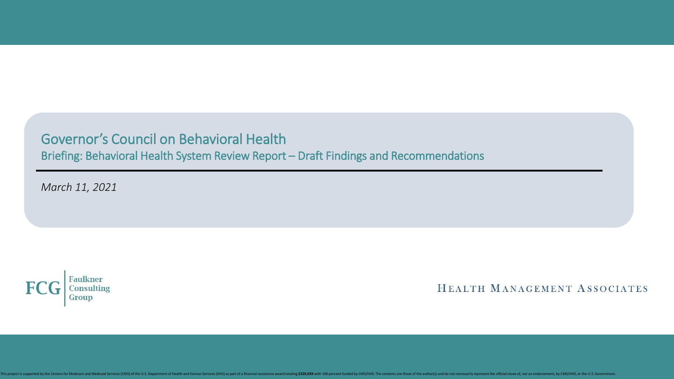Governor's Council on Behavioral Health Briefing: Behavioral Health System Review Report – Draft Findings and Recommendations

*March 11, 2021*



HEALTH MANAGEMENT ASSOCIATES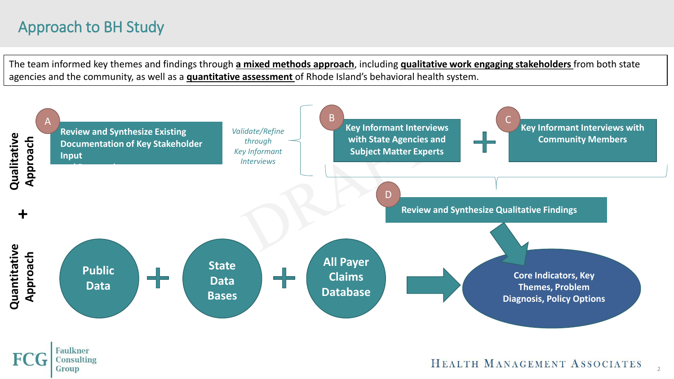# Approach to BH Study

The team informed key themes and findings through **a mixed methods approach**, including **qualitative work engaging stakeholders** from both state agencies and the community, as well as a **quantitative assessment** of Rhode Island's behavioral health system.

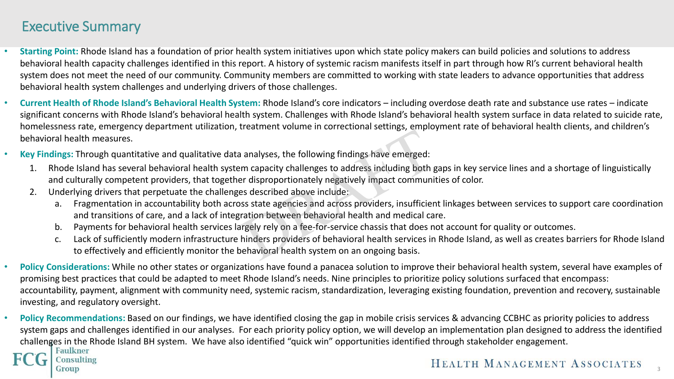### Executive Summary

- **Starting Point:** Rhode Island has a foundation of prior health system initiatives upon which state policy makers can build policies and solutions to address behavioral health capacity challenges identified in this report. A history of systemic racism manifests itself in part through how RI's current behavioral health system does not meet the need of our community. Community members are committed to working with state leaders to advance opportunities that address behavioral health system challenges and underlying drivers of those challenges.
- **Current Health of Rhode Island's Behavioral Health System:** Rhode Island's core indicators including overdose death rate and substance use rates indicate significant concerns with Rhode Island's behavioral health system. Challenges with Rhode Island's behavioral health system surface in data related to suicide rate, homelessness rate, emergency department utilization, treatment volume in correctional settings, employment rate of behavioral health clients, and children's behavioral health measures.
- **Key Findings:** Through quantitative and qualitative data analyses, the following findings have emerged:
	- 1. Rhode Island has several behavioral health system capacity challenges to address including both gaps in key service lines and a shortage of linguistically and culturally competent providers, that together disproportionately negatively impact communities of color.
	- 2. Underlying drivers that perpetuate the challenges described above include:
		- a. Fragmentation in accountability both across state agencies and across providers, insufficient linkages between services to support care coordination and transitions of care, and a lack of integration between behavioral health and medical care.
		- b. Payments for behavioral health services largely rely on a fee-for-service chassis that does not account for quality or outcomes.
		- c. Lack of sufficiently modern infrastructure hinders providers of behavioral health services in Rhode Island, as well as creates barriers for Rhode Island to effectively and efficiently monitor the behavioral health system on an ongoing basis.
- **Policy Considerations:** While no other states or organizations have found a panacea solution to improve their behavioral health system, several have examples of promising best practices that could be adapted to meet Rhode Island's needs. Nine principles to prioritize policy solutions surfaced that encompass: accountability, payment, alignment with community need, systemic racism, standardization, leveraging existing foundation, prevention and recovery, sustainable investing, and regulatory oversight.
- **Policy Recommendations:** Based on our findings, we have identified closing the gap in mobile crisis services & advancing CCBHC as priority policies to address system gaps and challenges identified in our analyses. For each priority policy option, we will develop an implementation plan designed to address the identified challenges in the Rhode Island BH system. We have also identified "quick win" opportunities identified through stakeholder engagement.<br>I Faulkner

#### onsulting

#### Group

### HEALTH MANAGEMENT ASSOCIATES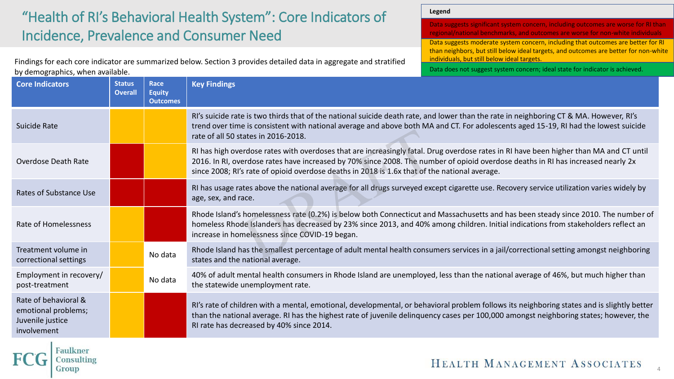# "Health of RI's Behavioral Health System": Core Indicators of Incidence, Prevalence and Consumer Need

Findings for each core indicator are summarized below. Section 3 provides detailed data in aggregate and stratified by demographics, when available.

**Legend**

Data suggests significant system concern, including outcomes are worse for RI than regional/national benchmarks, and outcomes are worse for non-white individuals Data suggests moderate system concern, including that outcomes are better for RI than neighbors, but still below ideal targets, and outcomes are better for non-white individuals, but still below ideal targets.

Data does not suggest system concern; ideal state for indicator is achieved.

| <b>Core Indicators</b>                                                         | <b>Status</b><br><b>Overall</b> | Race<br><b>Equity</b><br><b>Outcomes</b> | <b>Key Findings</b>                                                                                                                                                                                                                                                                                                                                                         |
|--------------------------------------------------------------------------------|---------------------------------|------------------------------------------|-----------------------------------------------------------------------------------------------------------------------------------------------------------------------------------------------------------------------------------------------------------------------------------------------------------------------------------------------------------------------------|
| Suicide Rate                                                                   |                                 |                                          | RI's suicide rate is two thirds that of the national suicide death rate, and lower than the rate in neighboring CT & MA. However, RI's<br>trend over time is consistent with national average and above both MA and CT. For adolescents aged 15-19, RI had the lowest suicide<br>rate of all 50 states in 2016-2018.                                                        |
| Overdose Death Rate                                                            |                                 |                                          | RI has high overdose rates with overdoses that are increasingly fatal. Drug overdose rates in RI have been higher than MA and CT until<br>2016. In RI, overdose rates have increased by 70% since 2008. The number of opioid overdose deaths in RI has increased nearly 2x<br>since 2008; RI's rate of opioid overdose deaths in 2018 is 1.6x that of the national average. |
| Rates of Substance Use                                                         |                                 |                                          | RI has usage rates above the national average for all drugs surveyed except cigarette use. Recovery service utilization varies widely by<br>age, sex, and race.                                                                                                                                                                                                             |
| Rate of Homelessness                                                           |                                 |                                          | Rhode Island's homelessness rate (0.2%) is below both Connecticut and Massachusetts and has been steady since 2010. The number of<br>homeless Rhode Islanders has decreased by 23% since 2013, and 40% among children. Initial indications from stakeholders reflect an<br>increase in homelessness since COVID-19 began.                                                   |
| Treatment volume in<br>correctional settings                                   |                                 | No data                                  | Rhode Island has the smallest percentage of adult mental health consumers services in a jail/correctional setting amongst neighboring<br>states and the national average.                                                                                                                                                                                                   |
| Employment in recovery/<br>post-treatment                                      |                                 | No data                                  | 40% of adult mental health consumers in Rhode Island are unemployed, less than the national average of 46%, but much higher than<br>the statewide unemployment rate.                                                                                                                                                                                                        |
| Rate of behavioral &<br>emotional problems;<br>Juvenile justice<br>involvement |                                 |                                          | RI's rate of children with a mental, emotional, developmental, or behavioral problem follows its neighboring states and is slightly better<br>than the national average. RI has the highest rate of juvenile delinquency cases per 100,000 amongst neighboring states; however, the<br>RI rate has decreased by 40% since 2014.                                             |

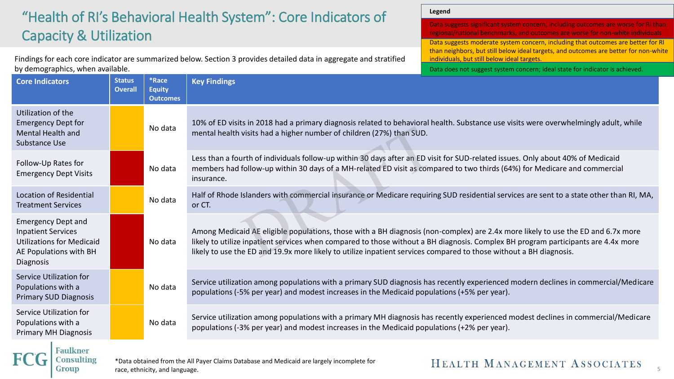## "Health of RI's Behavioral Health System": Core Indicators of Capacity & Utilization

Findings for each core indicator are summarized below. Section 3 provides detailed data in aggregate and stratified by demographics, when available.

**Legend**

| Data suggests moderate system concern, including that outcomes are better for RI<br>than neighbors, but still below ideal targets, and outcomes are better for non-white<br>individuals, but still below ideal targets. |  |
|-------------------------------------------------------------------------------------------------------------------------------------------------------------------------------------------------------------------------|--|
|                                                                                                                                                                                                                         |  |
| Data does not suggest system concern; ideal state for indicator is achieved.                                                                                                                                            |  |
|                                                                                                                                                                                                                         |  |

| <b>Core Indicators</b>                                                                                                                   | <b>Status</b><br><b>Overall</b> | *Race<br><b>Equity</b><br><b>Outcomes</b> | <b>Key Findings</b>                                                                                                                                                                                                                                                                                                                                                                         |  |  |
|------------------------------------------------------------------------------------------------------------------------------------------|---------------------------------|-------------------------------------------|---------------------------------------------------------------------------------------------------------------------------------------------------------------------------------------------------------------------------------------------------------------------------------------------------------------------------------------------------------------------------------------------|--|--|
| Utilization of the<br><b>Emergency Dept for</b><br>Mental Health and<br>Substance Use                                                    |                                 | No data                                   | 10% of ED visits in 2018 had a primary diagnosis related to behavioral health. Substance use visits were overwhelmingly adult, while<br>mental health visits had a higher number of children (27%) than SUD.                                                                                                                                                                                |  |  |
| Follow-Up Rates for<br><b>Emergency Dept Visits</b>                                                                                      |                                 | No data                                   | Less than a fourth of individuals follow-up within 30 days after an ED visit for SUD-related issues. Only about 40% of Medicaid<br>members had follow-up within 30 days of a MH-related ED visit as compared to two thirds (64%) for Medicare and commercial<br>insurance.                                                                                                                  |  |  |
| Location of Residential<br><b>Treatment Services</b>                                                                                     |                                 | No data                                   | Half of Rhode Islanders with commercial insurance or Medicare requiring SUD residential services are sent to a state other than RI, MA,<br>or CT.                                                                                                                                                                                                                                           |  |  |
| <b>Emergency Dept and</b><br><b>Inpatient Services</b><br><b>Utilizations for Medicaid</b><br>AE Populations with BH<br><b>Diagnosis</b> |                                 | No data                                   | Among Medicaid AE eligible populations, those with a BH diagnosis (non-complex) are 2.4x more likely to use the ED and 6.7x more<br>likely to utilize inpatient services when compared to those without a BH diagnosis. Complex BH program participants are 4.4x more<br>likely to use the ED and 19.9x more likely to utilize inpatient services compared to those without a BH diagnosis. |  |  |
| Service Utilization for<br>Populations with a<br><b>Primary SUD Diagnosis</b>                                                            |                                 | No data                                   | Service utilization among populations with a primary SUD diagnosis has recently experienced modern declines in commercial/Medicare<br>populations (-5% per year) and modest increases in the Medicaid populations (+5% per year).                                                                                                                                                           |  |  |
| Service Utilization for<br>Populations with a<br><b>Primary MH Diagnosis</b>                                                             |                                 | No data                                   | Service utilization among populations with a primary MH diagnosis has recently experienced modest declines in commercial/Medicare<br>populations (-3% per year) and modest increases in the Medicaid populations (+2% per year).                                                                                                                                                            |  |  |
| Consulting                                                                                                                               |                                 |                                           | *Data obtained from the All Paver Claims Database and Medicaid are largely incomplete for<br>HEATTH MANAGEMENT A COOLLER                                                                                                                                                                                                                                                                    |  |  |

\*Data obtained from the All Payer Claims Database and Medicaid are largely incomplete for race, ethnicity, and language.

Group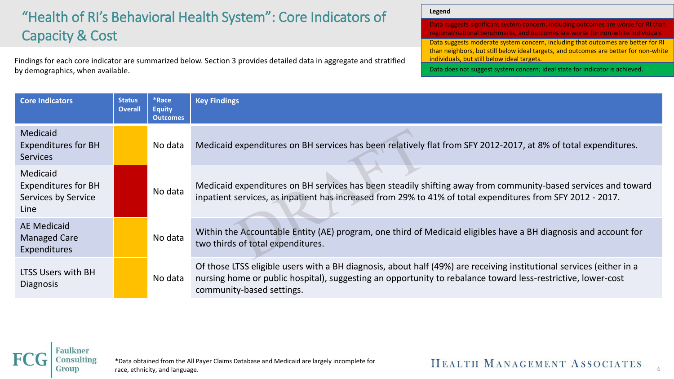# "Health of RI's Behavioral Health System": Core Indicators of Capacity & Cost

Findings for each core indicator are summarized below. Section 3 provides detailed data in aggregate and stratified by demographics, when available.

**Legend**

Data suggests significant system concern, including outcomes are worse for RI than regional/national benchmarks, and outcomes are worse for non-white individuals Data suggests moderate system concern, including that outcomes are better for RI than neighbors, but still below ideal targets, and outcomes are better for non-white individuals, but still below ideal targets. Data does not suggest system concern; ideal state for indicator is achieved.

| <b>Core Indicators</b>                                                | <b>Status</b><br><b>Overall</b> | *Race<br><b>Equity</b><br><b>Outcomes</b> | <b>Key Findings</b>                                                                                                                                                                                                                                               |
|-----------------------------------------------------------------------|---------------------------------|-------------------------------------------|-------------------------------------------------------------------------------------------------------------------------------------------------------------------------------------------------------------------------------------------------------------------|
| Medicaid<br><b>Expenditures for BH</b><br><b>Services</b>             |                                 | No data                                   | Medicaid expenditures on BH services has been relatively flat from SFY 2012-2017, at 8% of total expenditures.                                                                                                                                                    |
| Medicaid<br><b>Expenditures for BH</b><br>Services by Service<br>Line |                                 | No data                                   | Medicaid expenditures on BH services has been steadily shifting away from community-based services and toward<br>inpatient services, as inpatient has increased from 29% to 41% of total expenditures from SFY 2012 - 2017.                                       |
| <b>AE Medicaid</b><br><b>Managed Care</b><br>Expenditures             |                                 | No data                                   | Within the Accountable Entity (AE) program, one third of Medicaid eligibles have a BH diagnosis and account for<br>two thirds of total expenditures.                                                                                                              |
| LTSS Users with BH<br><b>Diagnosis</b>                                |                                 | No data                                   | Of those LTSS eligible users with a BH diagnosis, about half (49%) are receiving institutional services (either in a<br>nursing home or public hospital), suggesting an opportunity to rebalance toward less-restrictive, lower-cost<br>community-based settings. |

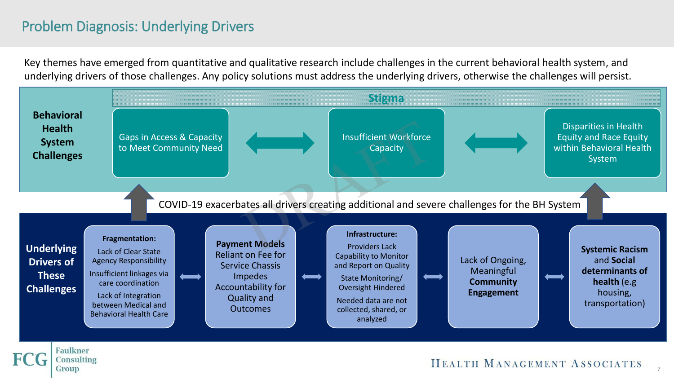## Problem Diagnosis: Underlying Drivers

Key themes have emerged from quantitative and qualitative research include challenges in the current behavioral health system, and underlying drivers of those challenges. Any policy solutions must address the underlying drivers, otherwise the challenges will persist.

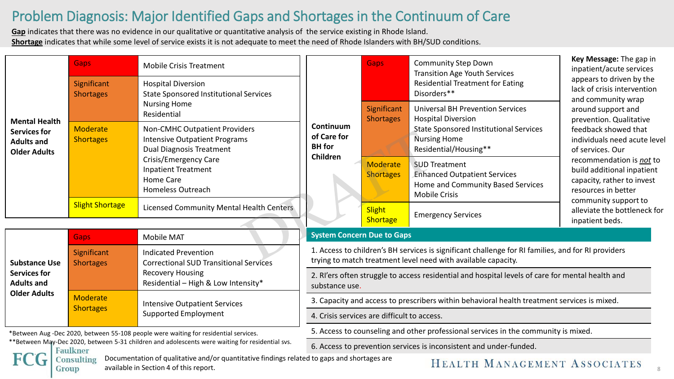## Problem Diagnosis: Major Identified Gaps and Shortages in the Continuum of Care

**Gap** indicates that there was no evidence in our qualitative or quantitative analysis of the service existing in Rhode Island. **Shortage** indicates that while some level of service exists it is not adequate to meet the need of Rhode Islanders with BH/SUD conditions.

|                                                                                                               | <b>Gaps</b><br>Significant<br><b>Shortages</b> | <b>Mobile Crisis Treatment</b><br><b>Hospital Diversion</b><br><b>State Sponsored Institutional Services</b>    |                                                                                                                                                                     | <b>Gaps</b>                     | <b>Community Step Down</b><br><b>Transition Age Youth Services</b><br><b>Residential Treatment for Eating</b><br>Disorders**                                          | Key Message: The gap in<br>inpatient/acute services<br>appears to driven by the<br>lack of crisis intervention<br>and community wrap                                                                                                                                                                                |  |
|---------------------------------------------------------------------------------------------------------------|------------------------------------------------|-----------------------------------------------------------------------------------------------------------------|---------------------------------------------------------------------------------------------------------------------------------------------------------------------|---------------------------------|-----------------------------------------------------------------------------------------------------------------------------------------------------------------------|---------------------------------------------------------------------------------------------------------------------------------------------------------------------------------------------------------------------------------------------------------------------------------------------------------------------|--|
| <b>Mental Health</b><br><b>Services for</b><br><b>Adults and</b><br><b>Older Adults</b>                       |                                                | <b>Nursing Home</b><br>Residential                                                                              |                                                                                                                                                                     | Significant<br><b>Shortages</b> | <b>Universal BH Prevention Services</b><br><b>Hospital Diversion</b><br><b>State Sponsored Institutional Services</b><br><b>Nursing Home</b><br>Residential/Housing** | around support and<br>prevention. Qualitative<br>feedback showed that<br>individuals need acute level<br>of services. Our<br>recommendation is not to<br>build additional inpatient<br>capacity, rather to invest<br>resources in better<br>community support to<br>alleviate the bottleneck for<br>inpatient beds. |  |
|                                                                                                               | <b>Moderate</b><br><b>Shortages</b>            | <b>Non-CMHC Outpatient Providers</b><br><b>Intensive Outpatient Programs</b><br><b>Dual Diagnosis Treatment</b> | Continuum<br>of Care for<br><b>BH</b> for<br>Children                                                                                                               |                                 |                                                                                                                                                                       |                                                                                                                                                                                                                                                                                                                     |  |
|                                                                                                               |                                                | Crisis/Emergency Care<br><b>Inpatient Treatment</b><br>Home Care<br><b>Homeless Outreach</b>                    |                                                                                                                                                                     | Moderate<br><b>Shortages</b>    | <b>SUD Treatment</b><br><b>Enhanced Outpatient Services</b><br>Home and Community Based Services<br><b>Mobile Crisis</b>                                              |                                                                                                                                                                                                                                                                                                                     |  |
|                                                                                                               | <b>Slight Shortage</b>                         | Licensed Community Mental Health Centers                                                                        |                                                                                                                                                                     | <b>Slight</b><br>Shortage       | <b>Emergency Services</b>                                                                                                                                             |                                                                                                                                                                                                                                                                                                                     |  |
|                                                                                                               | <b>Gaps</b>                                    | <b>Mobile MAT</b>                                                                                               | <b>System Concern Due to Gaps</b>                                                                                                                                   |                                 |                                                                                                                                                                       |                                                                                                                                                                                                                                                                                                                     |  |
| <b>Substance Use</b><br><b>Services for</b><br><b>Adults and</b><br><b>Older Adults</b>                       | Significant<br><b>Shortages</b>                | <b>Indicated Prevention</b><br><b>Correctional SUD Transitional Services</b>                                    | 1. Access to children's BH services is significant challenge for RI families, and for RI providers<br>trying to match treatment level need with available capacity. |                                 |                                                                                                                                                                       |                                                                                                                                                                                                                                                                                                                     |  |
|                                                                                                               |                                                | <b>Recovery Housing</b><br>Residential - High & Low Intensity*                                                  | 2. RI'ers often struggle to access residential and hospital levels of care for mental health and<br>substance use.                                                  |                                 |                                                                                                                                                                       |                                                                                                                                                                                                                                                                                                                     |  |
|                                                                                                               | <b>Moderate</b>                                | <b>Intensive Outpatient Services</b>                                                                            | 3. Capacity and access to prescribers within behavioral health treatment services is mixed.                                                                         |                                 |                                                                                                                                                                       |                                                                                                                                                                                                                                                                                                                     |  |
|                                                                                                               | <b>Shortages</b>                               | <b>Supported Employment</b>                                                                                     | 4. Crisis services are difficult to access.                                                                                                                         |                                 |                                                                                                                                                                       |                                                                                                                                                                                                                                                                                                                     |  |
| *Between Aug-Dec 2020, between 55-108 people were waiting for residential services.                           |                                                |                                                                                                                 | 5. Access to counseling and other professional services in the community is mixed.                                                                                  |                                 |                                                                                                                                                                       |                                                                                                                                                                                                                                                                                                                     |  |
| ** Between May-Dec 2020, between 5-31 children and adolescents were waiting for residential svs.<br>$E = -11$ |                                                |                                                                                                                 | 6. Access to prevention services is inconsistent and under-funded.                                                                                                  |                                 |                                                                                                                                                                       |                                                                                                                                                                                                                                                                                                                     |  |

Documentation of qualitative and/or quantitative findings related to gaps and shortages are **Consulting** available in Section 4 of this report. Group

**Faulkner**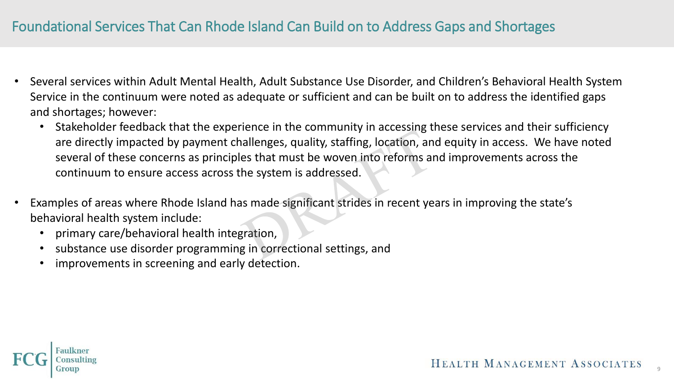## Foundational Services That Can Rhode Island Can Build on to Address Gaps and Shortages

- Several services within Adult Mental Health, Adult Substance Use Disorder, and Children's Behavioral Health System Service in the continuum were noted as adequate or sufficient and can be built on to address the identified gaps and shortages; however:
	- Stakeholder feedback that the experience in the community in accessing these services and their sufficiency are directly impacted by payment challenges, quality, staffing, location, and equity in access. We have noted several of these concerns as principles that must be woven into reforms and improvements across the continuum to ensure access across the system is addressed.
- Examples of areas where Rhode Island has made significant strides in recent years in improving the state's behavioral health system include:
	- primary care/behavioral health integration,
	- substance use disorder programming in correctional settings, and
	- improvements in screening and early detection.

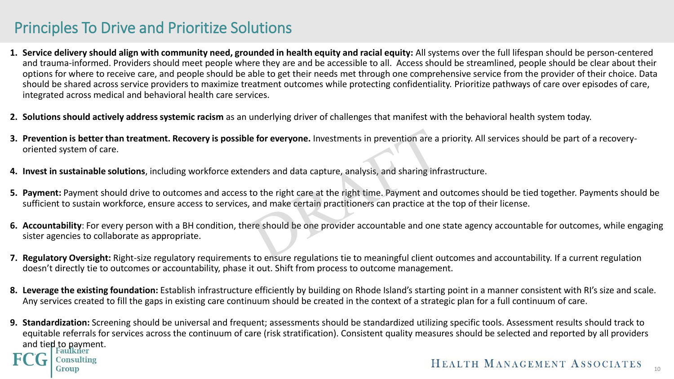# Principles To Drive and Prioritize Solutions

- **1. Service delivery should align with community need, grounded in health equity and racial equity:** All systems over the full lifespan should be person-centered and trauma-informed. Providers should meet people where they are and be accessible to all. Access should be streamlined, people should be clear about their options for where to receive care, and people should be able to get their needs met through one comprehensive service from the provider of their choice. Data should be shared across service providers to maximize treatment outcomes while protecting confidentiality. Prioritize pathways of care over episodes of care, integrated across medical and behavioral health care services.
- **2. Solutions should actively address systemic racism** as an underlying driver of challenges that manifest with the behavioral health system today.
- **3. Prevention is better than treatment. Recovery is possible for everyone.** Investments in prevention are a priority. All services should be part of a recoveryoriented system of care.
- **4. Invest in sustainable solutions**, including workforce extenders and data capture, analysis, and sharing infrastructure.
- **5. Payment:** Payment should drive to outcomes and access to the right care at the right time. Payment and outcomes should be tied together. Payments should be sufficient to sustain workforce, ensure access to services, and make certain practitioners can practice at the top of their license.
- **6. Accountability**: For every person with a BH condition, there should be one provider accountable and one state agency accountable for outcomes, while engaging sister agencies to collaborate as appropriate.
- **7. Regulatory Oversight:** Right-size regulatory requirements to ensure regulations tie to meaningful client outcomes and accountability. If a current regulation doesn't directly tie to outcomes or accountability, phase it out. Shift from process to outcome management.
- **8. Leverage the existing foundation:** Establish infrastructure efficiently by building on Rhode Island's starting point in a manner consistent with RI's size and scale. Any services created to fill the gaps in existing care continuum should be created in the context of a strategic plan for a full continuum of care.
- **9. Standardization:** Screening should be universal and frequent; assessments should be standardized utilizing specific tools. Assessment results should track to equitable referrals for services across the continuum of care (risk stratification). Consistent quality measures should be selected and reported by all providers and tied to payment. Consulting HEALTH MANAGEMENT ASSOCIATES roup